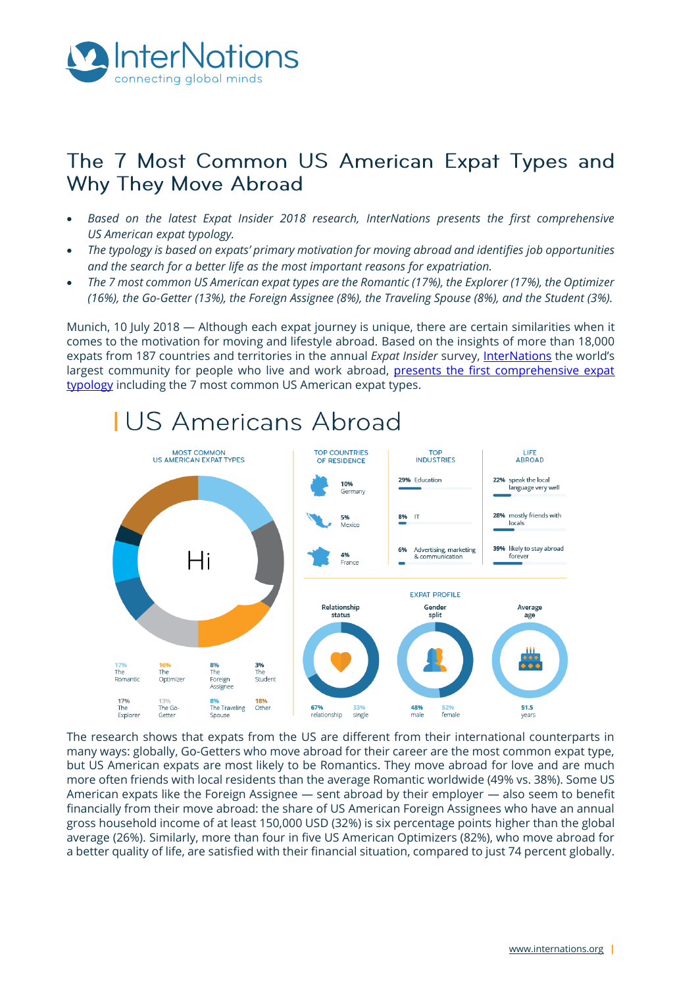

# The 7 Most Common US American Expat Types and Why They Move Abroad

- *Based on the latest Expat Insider 2018 research, InterNations presents the first comprehensive US American expat typology.*
- *The typology is based on expats' primary motivation for moving abroad and identifies job opportunities and the search for a better life as the most important reasons for expatriation.*
- *The 7 most common US American expat types are the Romantic (17%), the Explorer (17%), the Optimizer (16%), the Go-Getter (13%), the Foreign Assignee (8%), the Traveling Spouse (8%), and the Student (3%).*

Munich, 10 July 2018 — Although each expat journey is unique, there are certain similarities when it comes to the motivation for moving and lifestyle abroad. Based on the insights of more than 18,000 expats from 187 countries and territories in the annual *Expat Insider* survey, [InterNations](http://www.internations.org/) the world's largest community for people who live and work abroad, presents the first comprehensive expat [typology](https://www.internations.org/guide/global/the-go-getter-boosting-their-career-39486) including the 7 most common US American expat types.



# **IUS Americans Abroad**

The research shows that expats from the US are different from their international counterparts in many ways: globally, Go-Getters who move abroad for their career are the most common expat type, but US American expats are most likely to be Romantics. They move abroad for love and are much more often friends with local residents than the average Romantic worldwide (49% vs. 38%). Some US American expats like the Foreign Assignee — sent abroad by their employer — also seem to benefit financially from their move abroad: the share of US American Foreign Assignees who have an annual gross household income of at least 150,000 USD (32%) is six percentage points higher than the global average (26%). Similarly, more than four in five US American Optimizers (82%), who move abroad for a better quality of life, are satisfied with their financial situation, compared to just 74 percent globally.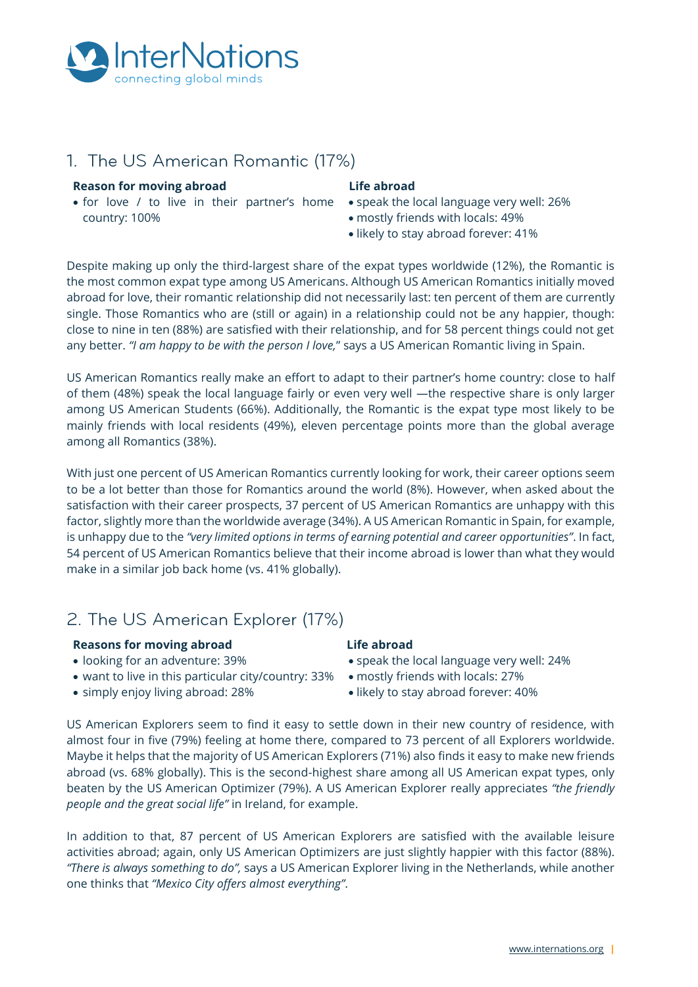

## 1. The US American Romantic (17%)

#### **Reason for moving abroad**

• for love / to live in their partner's home • speak the local language very well: 26% country: 100%

#### **Life abroad**

- 
- mostly friends with locals: 49%
- likely to stay abroad forever: 41%

Despite making up only the third-largest share of the expat types worldwide (12%), the Romantic is the most common expat type among US Americans. Although US American Romantics initially moved abroad for love, their romantic relationship did not necessarily last: ten percent of them are currently single. Those Romantics who are (still or again) in a relationship could not be any happier, though: close to nine in ten (88%) are satisfied with their relationship, and for 58 percent things could not get any better. *"I am happy to be with the person I love,*" says a US American Romantic living in Spain.

US American Romantics really make an effort to adapt to their partner's home country: close to half of them (48%) speak the local language fairly or even very well —the respective share is only larger among US American Students (66%). Additionally, the Romantic is the expat type most likely to be mainly friends with local residents (49%), eleven percentage points more than the global average among all Romantics (38%).

With just one percent of US American Romantics currently looking for work, their career options seem to be a lot better than those for Romantics around the world (8%). However, when asked about the satisfaction with their career prospects, 37 percent of US American Romantics are unhappy with this factor, slightly more than the worldwide average (34%). A US American Romantic in Spain, for example, is unhappy due to the *"very limited options in terms of earning potential and career opportunities"*. In fact, 54 percent of US American Romantics believe that their income abroad is lower than what they would make in a similar job back home (vs. 41% globally).

### 2. The US American Explorer (17%)

#### **Reasons for moving abroad**

- looking for an adventure: 39%
- want to live in this particular city/country: 33% mostly friends with locals: 27%
- simply enjoy living abroad: 28%

#### **Life abroad**

- speak the local language very well: 24%
- 
- likely to stay abroad forever: 40%

US American Explorers seem to find it easy to settle down in their new country of residence, with almost four in five (79%) feeling at home there, compared to 73 percent of all Explorers worldwide. Maybe it helps that the majority of US American Explorers (71%) also finds it easy to make new friends abroad (vs. 68% globally). This is the second-highest share among all US American expat types, only beaten by the US American Optimizer (79%). A US American Explorer really appreciates *"the friendly people and the great social life"* in Ireland, for example.

In addition to that, 87 percent of US American Explorers are satisfied with the available leisure activities abroad; again, only US American Optimizers are just slightly happier with this factor (88%). *"There is always something to do",* says a US American Explorer living in the Netherlands, while another one thinks that *"Mexico City offers almost everything"*.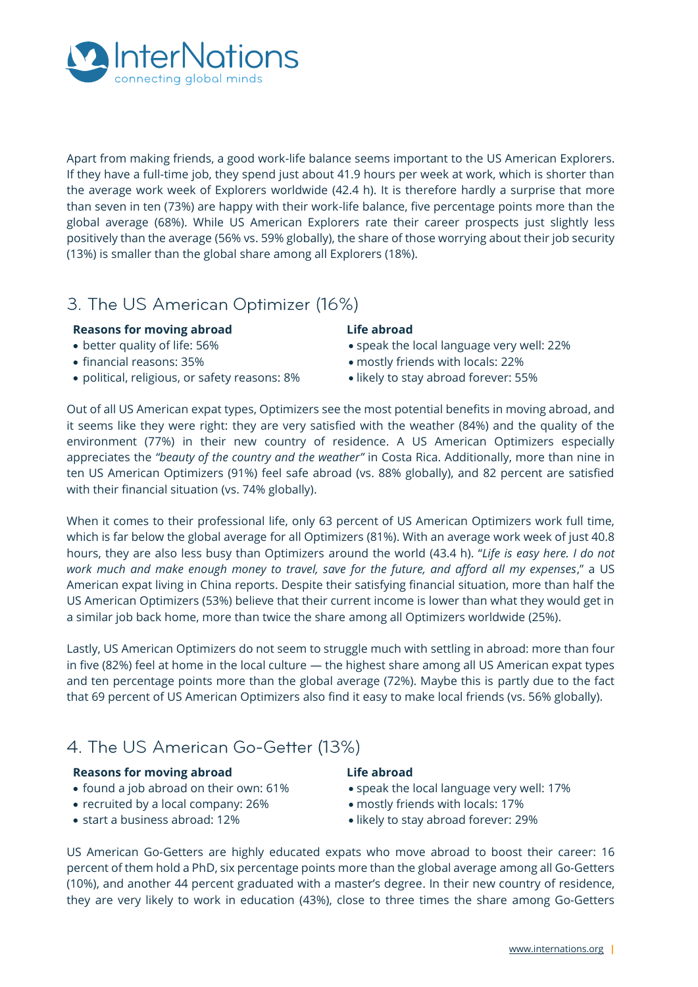

Apart from making friends, a good work-life balance seems important to the US American Explorers. If they have a full-time job, they spend just about 41.9 hours per week at work, which is shorter than the average work week of Explorers worldwide (42.4 h). It is therefore hardly a surprise that more than seven in ten (73%) are happy with their work-life balance, five percentage points more than the global average (68%). While US American Explorers rate their career prospects just slightly less positively than the average (56% vs. 59% globally), the share of those worrying about their job security (13%) is smaller than the global share among all Explorers (18%).

# 3. The US American Optimizer (16%)

#### **Reasons for moving abroad**

- better quality of life: 56%
- financial reasons: 35%
- political, religious, or safety reasons: 8%

### **Life abroad**

- speak the local language very well: 22%
- mostly friends with locals: 22%
- likely to stay abroad forever: 55%

Out of all US American expat types, Optimizers see the most potential benefits in moving abroad, and it seems like they were right: they are very satisfied with the weather (84%) and the quality of the environment (77%) in their new country of residence. A US American Optimizers especially appreciates the *"beauty of the country and the weather"* in Costa Rica. Additionally, more than nine in ten US American Optimizers (91%) feel safe abroad (vs. 88% globally), and 82 percent are satisfied with their financial situation (vs. 74% globally).

When it comes to their professional life, only 63 percent of US American Optimizers work full time, which is far below the global average for all Optimizers (81%). With an average work week of just 40.8 hours, they are also less busy than Optimizers around the world (43.4 h). "*Life is easy here. I do not work much and make enough money to travel, save for the future, and afford all my expenses*," a US American expat living in China reports. Despite their satisfying financial situation, more than half the US American Optimizers (53%) believe that their current income is lower than what they would get in a similar job back home, more than twice the share among all Optimizers worldwide (25%).

Lastly, US American Optimizers do not seem to struggle much with settling in abroad: more than four in five (82%) feel at home in the local culture — the highest share among all US American expat types and ten percentage points more than the global average (72%). Maybe this is partly due to the fact that 69 percent of US American Optimizers also find it easy to make local friends (vs. 56% globally).

# 4. The US American Go-Getter (13%)

#### **Reasons for moving abroad**

- found a job abroad on their own: 61%
- recruited by a local company: 26%
- start a business abroad: 12%

#### **Life abroad**

- speak the local language very well: 17%
- mostly friends with locals: 17%
- likely to stay abroad forever: 29%

US American Go-Getters are highly educated expats who move abroad to boost their career: 16 percent of them hold a PhD, six percentage points more than the global average among all Go-Getters (10%), and another 44 percent graduated with a master's degree. In their new country of residence, they are very likely to work in education (43%), close to three times the share among Go-Getters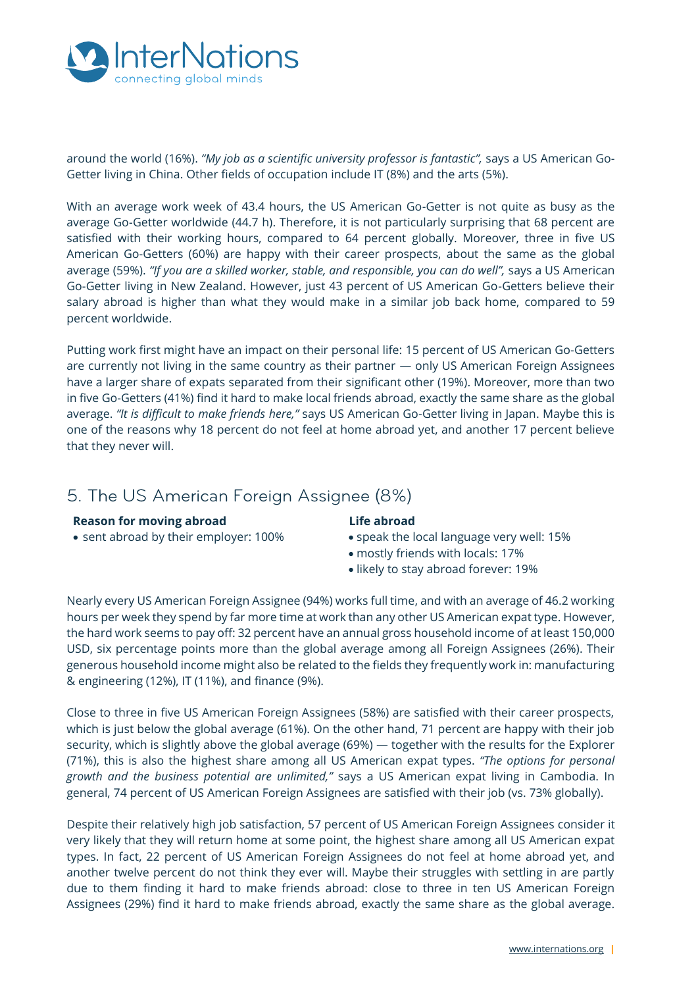

around the world (16%). *"My job as a scientific university professor is fantastic",* says a US American Go-Getter living in China. Other fields of occupation include IT (8%) and the arts (5%).

With an average work week of 43.4 hours, the US American Go-Getter is not quite as busy as the average Go-Getter worldwide (44.7 h). Therefore, it is not particularly surprising that 68 percent are satisfied with their working hours, compared to 64 percent globally. Moreover, three in five US American Go-Getters (60%) are happy with their career prospects, about the same as the global average (59%). "If you are a skilled worker, stable, and responsible, you can do well", says a US American Go-Getter living in New Zealand. However, just 43 percent of US American Go-Getters believe their salary abroad is higher than what they would make in a similar job back home, compared to 59 percent worldwide.

Putting work first might have an impact on their personal life: 15 percent of US American Go-Getters are currently not living in the same country as their partner — only US American Foreign Assignees have a larger share of expats separated from their significant other (19%). Moreover, more than two in five Go-Getters (41%) find it hard to make local friends abroad, exactly the same share as the global average. *"It is difficult to make friends here,"* says US American Go-Getter living in Japan. Maybe this is one of the reasons why 18 percent do not feel at home abroad yet, and another 17 percent believe that they never will.

### 5. The US American Foreign Assignee (8%)

#### **Reason for moving abroad**

• sent abroad by their employer: 100%

#### **Life abroad**

- speak the local language very well: 15%
- mostly friends with locals: 17%
- likely to stay abroad forever: 19%

Nearly every US American Foreign Assignee (94%) works full time, and with an average of 46.2 working hours per week they spend by far more time at work than any other US American expat type. However, the hard work seems to pay off: 32 percent have an annual gross household income of at least 150,000 USD, six percentage points more than the global average among all Foreign Assignees (26%). Their generous household income might also be related to the fields they frequently work in: manufacturing & engineering (12%), IT (11%), and finance (9%).

Close to three in five US American Foreign Assignees (58%) are satisfied with their career prospects, which is just below the global average (61%). On the other hand, 71 percent are happy with their job security, which is slightly above the global average (69%) — together with the results for the Explorer (71%), this is also the highest share among all US American expat types. *"The options for personal growth and the business potential are unlimited,"* says a US American expat living in Cambodia. In general, 74 percent of US American Foreign Assignees are satisfied with their job (vs. 73% globally).

Despite their relatively high job satisfaction, 57 percent of US American Foreign Assignees consider it very likely that they will return home at some point, the highest share among all US American expat types. In fact, 22 percent of US American Foreign Assignees do not feel at home abroad yet, and another twelve percent do not think they ever will. Maybe their struggles with settling in are partly due to them finding it hard to make friends abroad: close to three in ten US American Foreign Assignees (29%) find it hard to make friends abroad, exactly the same share as the global average.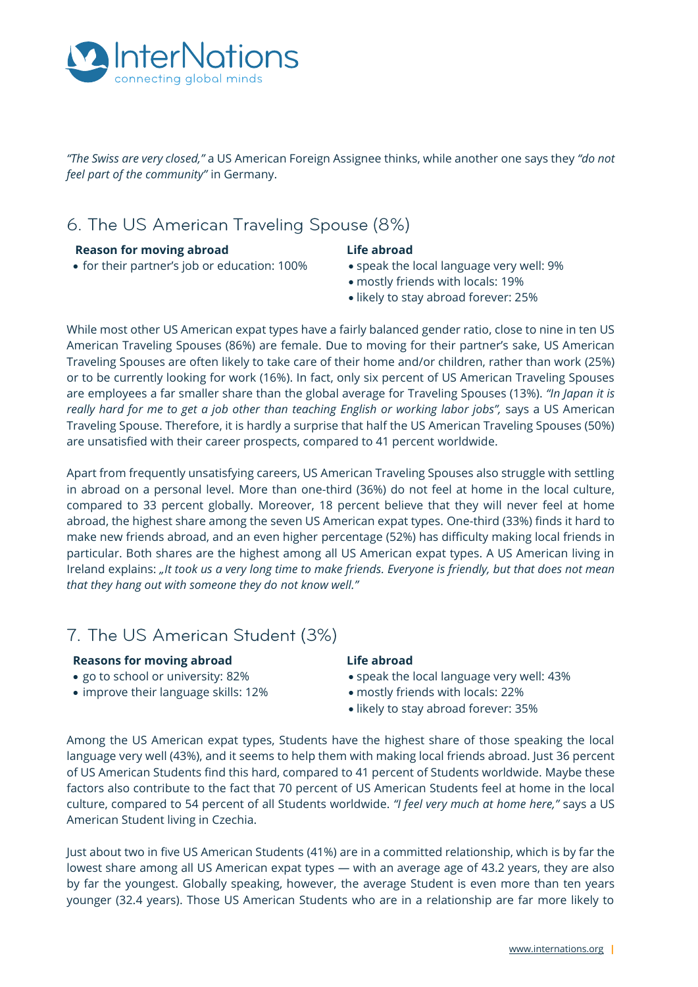

*"The Swiss are very closed,"* a US American Foreign Assignee thinks, while another one says they *"do not feel part of the community"* in Germany.

# 6. The US American Traveling Spouse (8%)

#### **Reason for moving abroad**

#### **Life abroad**

- for their partner's job or education: 100%
- speak the local language very well: 9%
- mostly friends with locals: 19%
- likely to stay abroad forever: 25%

While most other US American expat types have a fairly balanced gender ratio, close to nine in ten US American Traveling Spouses (86%) are female. Due to moving for their partner's sake, US American Traveling Spouses are often likely to take care of their home and/or children, rather than work (25%) or to be currently looking for work (16%). In fact, only six percent of US American Traveling Spouses are employees a far smaller share than the global average for Traveling Spouses (13%). *"In Japan it is really hard for me to get a job other than teaching English or working labor jobs",* says a US American Traveling Spouse. Therefore, it is hardly a surprise that half the US American Traveling Spouses (50%) are unsatisfied with their career prospects, compared to 41 percent worldwide.

Apart from frequently unsatisfying careers, US American Traveling Spouses also struggle with settling in abroad on a personal level. More than one-third (36%) do not feel at home in the local culture, compared to 33 percent globally. Moreover, 18 percent believe that they will never feel at home abroad, the highest share among the seven US American expat types. One-third (33%) finds it hard to make new friends abroad, and an even higher percentage (52%) has difficulty making local friends in particular. Both shares are the highest among all US American expat types. A US American living in Ireland explains: *"It took us a very long time to make friends. Everyone is friendly, but that does not mean that they hang out with someone they do not know well."*

# 7. The US American Student (3%)

#### **Reasons for moving abroad**

- go to school or university: 82%
- improve their language skills: 12%

#### **Life abroad**

- speak the local language very well: 43%
- mostly friends with locals: 22%
- likely to stay abroad forever: 35%

Among the US American expat types, Students have the highest share of those speaking the local language very well (43%), and it seems to help them with making local friends abroad. Just 36 percent of US American Students find this hard, compared to 41 percent of Students worldwide. Maybe these factors also contribute to the fact that 70 percent of US American Students feel at home in the local culture, compared to 54 percent of all Students worldwide. *"I feel very much at home here,"* says a US American Student living in Czechia.

Just about two in five US American Students (41%) are in a committed relationship, which is by far the lowest share among all US American expat types — with an average age of 43.2 years, they are also by far the youngest. Globally speaking, however, the average Student is even more than ten years younger (32.4 years). Those US American Students who are in a relationship are far more likely to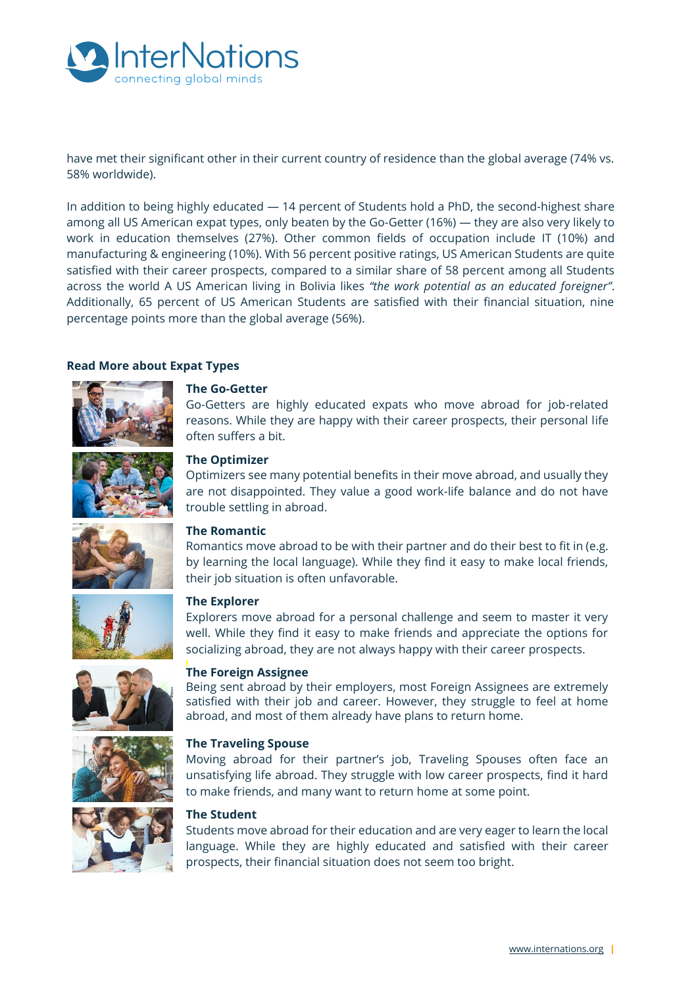

have met their significant other in their current country of residence than the global average (74% vs. 58% worldwide).

In addition to being highly educated — 14 percent of Students hold a PhD, the second-highest share among all US American expat types, only beaten by the Go-Getter (16%) — they are also very likely to work in education themselves (27%). Other common fields of occupation include IT (10%) and manufacturing & engineering (10%). With 56 percent positive ratings, US American Students are quite satisfied with their career prospects, compared to a similar share of 58 percent among all Students across the world A US American living in Bolivia likes *"the work potential as an educated foreigner"*. Additionally, 65 percent of US American Students are satisfied with their financial situation, nine percentage points more than the global average (56%).

#### **Read More about Expat Types**



#### **[The Go-Getter](https://www.internations.org/guide/global/the-go-getter-boosting-their-career-39486)**

[Go-Getters are highly educated expats who move abroad for job-related](https://www.internations.org/guide/global/the-go-getter-boosting-their-career-39486)  [reasons. While they are happy with their career prospects, their personal life](https://www.internations.org/guide/global/the-go-getter-boosting-their-career-39486)  [often suffers a bit.](https://www.internations.org/guide/global/the-go-getter-boosting-their-career-39486)



#### **[The Optimizer](https://www.internations.org/guide/global/the-optimizer-searching-for-a-better-life-39487)**

[Optimizers see many potential benefits in their move abroad, and usually they](https://www.internations.org/guide/global/the-optimizer-searching-for-a-better-life-39487)  are not disappointed. They [value a good work-life balance and do not have](https://www.internations.org/guide/global/the-optimizer-searching-for-a-better-life-39487)  [trouble settling in abroad.](https://www.internations.org/guide/global/the-optimizer-searching-for-a-better-life-39487)



#### **[The Romantic](https://www.internations.org/guide/global/the-romantic-relocating-for-romance-39488)**

[Romantics move abroad to be with their partner and do their](https://www.internations.org/guide/global/the-romantic-relocating-for-romance-39488) best to fit in (e.g. [by learning the local language\). While they find it easy to make local friends,](https://www.internations.org/guide/global/the-romantic-relocating-for-romance-39488)  [their job situation is often unfavorable.](https://www.internations.org/guide/global/the-romantic-relocating-for-romance-39488)



#### **[The Explorer](https://www.internations.org/guide/global/the-explorer-looking-for-an-adventure-39485)**

[Explorers move abroad for a personal challenge and seem to master it very](https://www.internations.org/guide/global/the-explorer-looking-for-an-adventure-39485)  [well. While they find it easy to make friends and appreciate the options for](https://www.internations.org/guide/global/the-explorer-looking-for-an-adventure-39485)  [socializing abroad, they are not always happy with their career prospects.](https://www.internations.org/guide/global/the-explorer-looking-for-an-adventure-39485)



#### **[The Foreign Assignee](https://www.internations.org/guide/global/the-foreign-assignee-moving-for-their-employer-39489)**

[Being sent abroad by their employers, most Foreign Assignees are extremely](https://www.internations.org/guide/global/the-foreign-assignee-moving-for-their-employer-39489)  [satisfied with their job and career. However, they struggle to feel at home](https://www.internations.org/guide/global/the-foreign-assignee-moving-for-their-employer-39489)  [abroad, and most of them already have plans to return home.](https://www.internations.org/guide/global/the-foreign-assignee-moving-for-their-employer-39489)

#### **[The Traveling Spouse](https://www.internations.org/guide/global/the-traveling-spouse-supporting-their-partner-s-career-39490)**

Moving abroad for their [partner's job, Traveling Spouses often face an](https://www.internations.org/guide/global/the-traveling-spouse-supporting-their-partner-s-career-39490)  [unsatisfying life abroad. They struggle with low career prospects, find it hard](https://www.internations.org/guide/global/the-traveling-spouse-supporting-their-partner-s-career-39490)  [to make friends, and many want to return home at some point.](https://www.internations.org/guide/global/the-traveling-spouse-supporting-their-partner-s-career-39490)



#### **[The Student](https://www.internations.org/guide/global/the-student-educating-and-being-educated-39491)**

[Students move abroad for their education and are very eager to learn the local](https://www.internations.org/guide/global/the-student-educating-and-being-educated-39491)  [language. While they are highly educated and satisfied with their career](https://www.internations.org/guide/global/the-student-educating-and-being-educated-39491)  [prospects, their financial situation does not seem too bright.](https://www.internations.org/guide/global/the-student-educating-and-being-educated-39491)